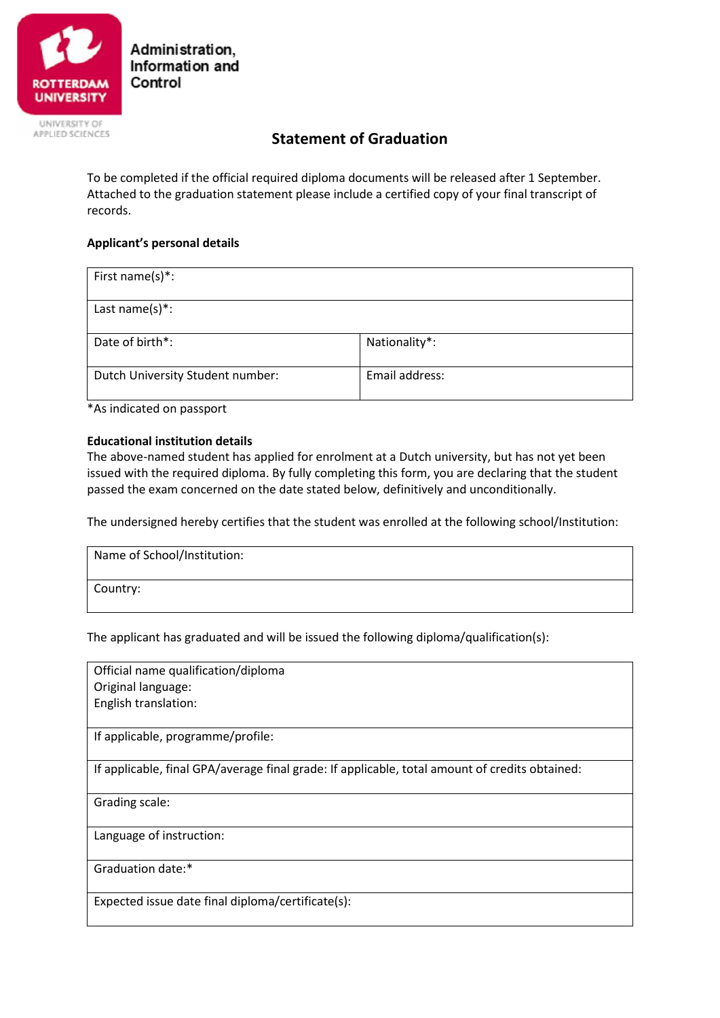

Administration. Information and Control

# APPLIED SCIENCES

## **Statement of Graduation**

To be completed if the official required diploma documents will be released after 1 September. Attached to the graduation statement please include a certified copy of your final transcript of records.

### **Applicant's personal details**

| First name(s)*:                  |                |  |
|----------------------------------|----------------|--|
| Last name(s)*:                   |                |  |
| Date of birth*:                  | Nationality*:  |  |
| Dutch University Student number: | Email address: |  |

\*As indicated on passport

#### **Educational institution details**

The above-named student has applied for enrolment at a Dutch university, but has not yet been issued with the required diploma. By fully completing this form, you are declaring that the student passed the exam concerned on the date stated below, definitively and unconditionally.

The undersigned hereby certifies that the student was enrolled at the following school/Institution:

| Name of School/Institution: |  |  |
|-----------------------------|--|--|
| Country:                    |  |  |

The applicant has graduated and will be issued the following diploma/qualification(s):

Official name qualification/diploma Original language: English translation:

If applicable, programme/profile:

If applicable, final GPA/average final grade: If applicable, total amount of credits obtained:

Grading scale:

Language of instruction:

Graduation date:\*

Expected issue date final diploma/certificate(s):